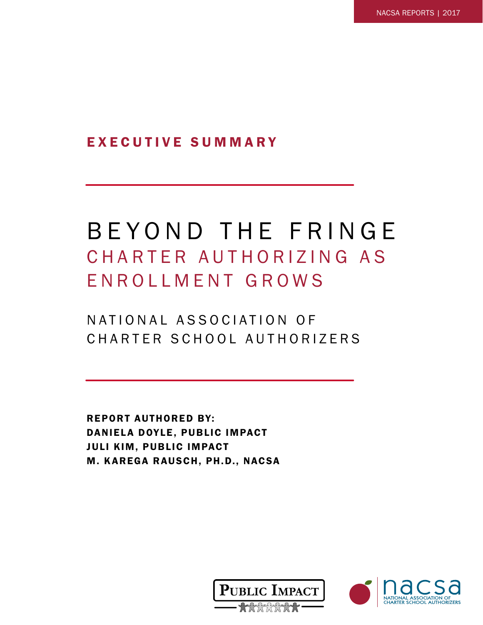EXECUTIVE SUMMARY

## BEYOND THE FRINGE CHARTER AUTHORIZING AS ENROLLMENT GROWS

N A T I O N A L A S S O C I A T I O N O F CHARTER SCHOOL AUTHORIZERS

REPORT AUTHORED BY: DANIELA DOYLE, PUBLIC IMPACT JULI KIM, PUBLIC IMPACT M. KAREGA RAUSCH, PH.D., NACSA



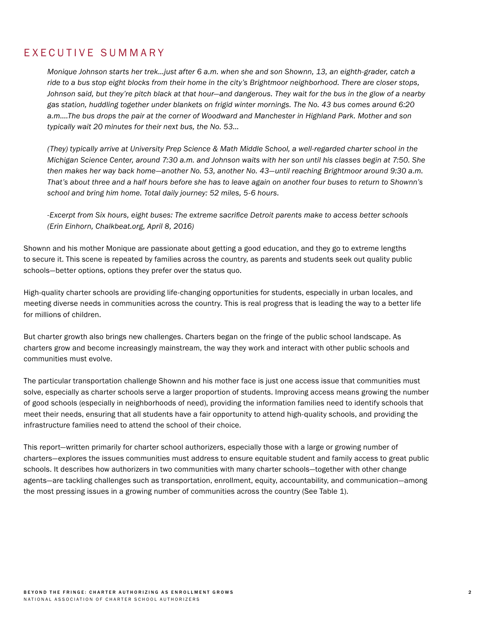## EXECUTIVE SUMMARY

*Monique Johnson starts her trek…just after 6 a.m. when she and son Shownn, 13, an eighth-grader, catch a ride to a bus stop eight blocks from their home in the city's Brightmoor neighborhood. There are closer stops, Johnson said, but they're pitch black at that hour—and dangerous. They wait for the bus in the glow of a nearby gas station, huddling together under blankets on frigid winter mornings. The No. 43 bus comes around 6:20 a.m….The bus drops the pair at the corner of Woodward and Manchester in Highland Park. Mother and son typically wait 20 minutes for their next bus, the No. 53…*

*(They) typically arrive at University Prep Science & Math Middle School, a well-regarded charter school in the Michigan Science Center, around 7:30 a.m. and Johnson waits with her son until his classes begin at 7:50. She then makes her way back home—another No. 53, another No. 43—until reaching Brightmoor around 9:30 a.m. That's about three and a half hours before she has to leave again on another four buses to return to Shownn's school and bring him home. Total daily journey: 52 miles, 5-6 hours.*

*-Excerpt from Six hours, eight buses: The extreme sacrifice Detroit parents make to access better schools (Erin Einhorn, Chalkbeat.org, April 8, 2016)*

Shownn and his mother Monique are passionate about getting a good education, and they go to extreme lengths to secure it. This scene is repeated by families across the country, as parents and students seek out quality public schools—better options, options they prefer over the status quo.

High-quality charter schools are providing life-changing opportunities for students, especially in urban locales, and meeting diverse needs in communities across the country. This is real progress that is leading the way to a better life for millions of children.

But charter growth also brings new challenges. Charters began on the fringe of the public school landscape. As charters grow and become increasingly mainstream, the way they work and interact with other public schools and communities must evolve.

The particular transportation challenge Shownn and his mother face is just one access issue that communities must solve, especially as charter schools serve a larger proportion of students. Improving access means growing the number of good schools (especially in neighborhoods of need), providing the information families need to identify schools that meet their needs, ensuring that all students have a fair opportunity to attend high-quality schools, and providing the infrastructure families need to attend the school of their choice.

This report—written primarily for charter school authorizers, especially those with a large or growing number of charters—explores the issues communities must address to ensure equitable student and family access to great public schools. It describes how authorizers in two communities with many charter schools—together with other change agents—are tackling challenges such as transportation, enrollment, equity, accountability, and communication—among the most pressing issues in a growing number of communities across the country (See Table 1).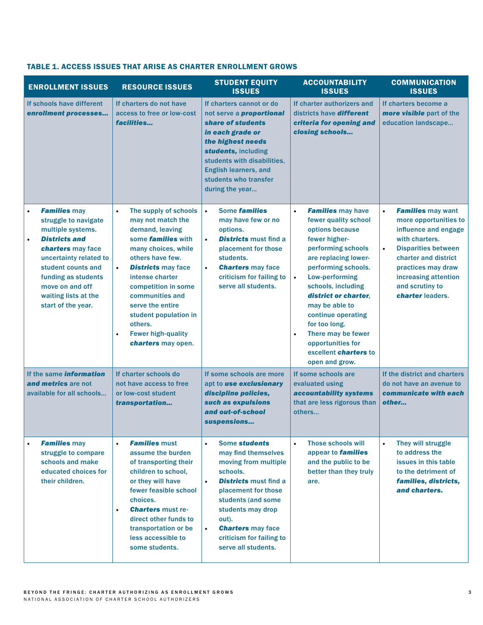| <b>ENROLLMENT ISSUES</b>                                                                                                                                                                                                                                           | <b>RESOURCE ISSUES</b>                                                                                                                                                                                                                                                                                                                                                            | <b>STUDENT EQUITY</b><br><b>ISSUES</b>                                                                                                                                                                                                                                                                    | <b>ACCOUNTABILITY</b><br><b>ISSUES</b>                                                                                                                                                                                                                                                                                                                                                                                 | <b>COMMUNICATION</b><br><b>ISSUES</b>                                                                                                                                                                                                                            |
|--------------------------------------------------------------------------------------------------------------------------------------------------------------------------------------------------------------------------------------------------------------------|-----------------------------------------------------------------------------------------------------------------------------------------------------------------------------------------------------------------------------------------------------------------------------------------------------------------------------------------------------------------------------------|-----------------------------------------------------------------------------------------------------------------------------------------------------------------------------------------------------------------------------------------------------------------------------------------------------------|------------------------------------------------------------------------------------------------------------------------------------------------------------------------------------------------------------------------------------------------------------------------------------------------------------------------------------------------------------------------------------------------------------------------|------------------------------------------------------------------------------------------------------------------------------------------------------------------------------------------------------------------------------------------------------------------|
| If schools have different<br>enrollment processes                                                                                                                                                                                                                  | If charters do not have<br>access to free or low-cost<br>facilities                                                                                                                                                                                                                                                                                                               | If charters cannot or do<br>not serve a <b>proportional</b><br>share of students<br>in each grade or<br>the highest needs<br>students, including<br>students with disabilities,<br><b>English learners, and</b><br>students who transfer<br>during the year                                               | If charter authorizers and<br>districts have <b>different</b><br>criteria for opening and<br>closing schools                                                                                                                                                                                                                                                                                                           | If charters become a<br>more visible part of the<br>education landscape                                                                                                                                                                                          |
| <b>Families may</b><br>struggle to navigate<br>multiple systems.<br><b>Districts and</b><br>$\bullet$<br>charters may face<br>uncertainty related to<br>student counts and<br>funding as students<br>move on and off<br>waiting lists at the<br>start of the year. | The supply of schools<br>$\bullet$<br>may not match the<br>demand, leaving<br>some <b>families</b> with<br>many choices, while<br>others have few.<br><b>Districts may face</b><br>$\bullet$<br>intense charter<br>competition in some<br>communities and<br>serve the entire<br>student population in<br>others.<br><b>Fewer high-quality</b><br>$\bullet$<br>charters may open. | Some <b>families</b><br>$\bullet$<br>may have few or no<br>options.<br><b>Districts must find a</b><br>$\bullet$<br>placement for those<br>students.<br><b>Charters</b> may face<br>$\bullet$<br>criticism for failing to<br>serve all students.                                                          | $\bullet$<br><b>Families</b> may have<br>fewer quality school<br>options because<br>fewer higher-<br>performing schools<br>are replacing lower-<br>performing schools.<br>Low-performing<br>$\bullet$<br>schools, including<br>district or charter.<br>may be able to<br>continue operating<br>for too long.<br>There may be fewer<br>$\bullet$<br>opportunities for<br>excellent <i>charters</i> to<br>open and grow. | <b>Families may want</b><br>$\bullet$<br>more opportunities to<br>influence and engage<br>with charters.<br><b>Disparities between</b><br>$\bullet$<br>charter and district<br>practices may draw<br>increasing attention<br>and scrutiny to<br>charter leaders. |
| If the same <i>information</i><br>and metrics are not<br>available for all schools                                                                                                                                                                                 | If charter schools do<br>not have access to free<br>or low-cost student<br>transportation                                                                                                                                                                                                                                                                                         | If some schools are more<br>apt to use exclusionary<br>discipline policies,<br>such as expulsions<br>and out-of-school<br>suspensions                                                                                                                                                                     | If some schools are<br>evaluated using<br>accountability systems<br>that are less rigorous than<br>others                                                                                                                                                                                                                                                                                                              | If the district and charters<br>do not have an avenue to<br>communicate with each<br>other                                                                                                                                                                       |
| <b>Families may</b><br>struggle to compare<br>schools and make<br>educated choices for<br>their children.                                                                                                                                                          | <b>Families must</b><br>$\bullet$<br>assume the burden<br>of transporting their<br>children to school,<br>or they will have<br>fewer feasible school<br>choices.<br><b>Charters must re-</b><br>$\bullet$<br>direct other funds to<br>transportation or be<br>less accessible to<br>some students.                                                                                | Some students<br>$\bullet$<br>may find themselves<br>moving from multiple<br>schools.<br><b>Districts must find a</b><br>$\bullet$<br>placement for those<br>students (and some<br>students may drop<br>out).<br><b>Charters may face</b><br>$\bullet$<br>criticism for failing to<br>serve all students. | <b>Those schools will</b><br>$\bullet$<br>appear to <b>families</b><br>and the public to be<br>better than they truly<br>are.                                                                                                                                                                                                                                                                                          | They will struggle<br>$\bullet$<br>to address the<br>issues in this table<br>to the detriment of<br>families, districts,<br>and charters.                                                                                                                        |

## TABLE 1. ACCESS ISSUES THAT ARISE AS CHARTER ENROLLMENT GROWS